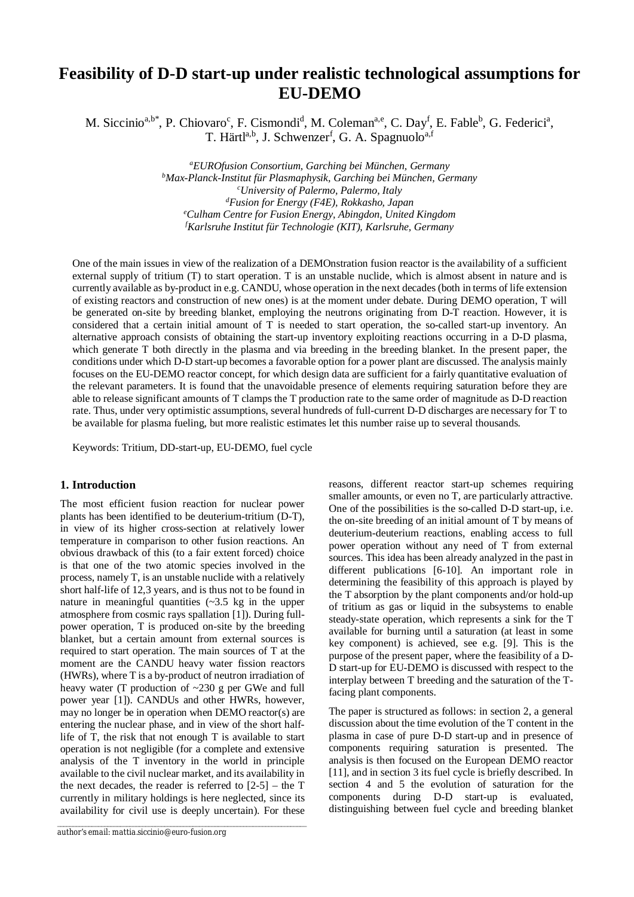# **Feasibility of D-D start-up under realistic technological assumptions for EU-DEMO**

M. Siccinio<sup>a,b\*</sup>, P. Chiovaro<sup>c</sup>, F. Cismondi<sup>d</sup>, M. Coleman<sup>a,e</sup>, C. Day<sup>f</sup>, E. Fable<sup>b</sup>, G. Federici<sup>a</sup>, T. Härtl<sup>a,b</sup>, J. Schwenzer<sup>f</sup>, G. A. Spagnuolo<sup>a,f</sup>

> *<sup>a</sup>EUROfusion Consortium, Garching bei München, Germany <sup>b</sup>Max-Planck-Institut für Plasmaphysik, Garching bei München, Germany <sup>c</sup>University of Palermo, Palermo, Italy <sup>d</sup>Fusion for Energy (F4E), Rokkasho, Japan <sup>e</sup>Culham Centre for Fusion Energy, Abingdon, United Kingdom <sup>f</sup>Karlsruhe Institut für Technologie (KIT), Karlsruhe, Germany*

One of the main issues in view of the realization of a DEMOnstration fusion reactor is the availability of a sufficient external supply of tritium (T) to start operation. T is an unstable nuclide, which is almost absent in nature and is currently available as by-product in e.g. CANDU, whose operation in the next decades (both in terms of life extension of existing reactors and construction of new ones) is at the moment under debate. During DEMO operation, T will be generated on-site by breeding blanket, employing the neutrons originating from D-T reaction. However, it is considered that a certain initial amount of T is needed to start operation, the so-called start-up inventory. An alternative approach consists of obtaining the start-up inventory exploiting reactions occurring in a D-D plasma, which generate T both directly in the plasma and via breeding in the breeding blanket. In the present paper, the conditions under which D-D start-up becomes a favorable option for a power plant are discussed. The analysis mainly focuses on the EU-DEMO reactor concept, for which design data are sufficient for a fairly quantitative evaluation of the relevant parameters. It is found that the unavoidable presence of elements requiring saturation before they are able to release significant amounts of T clamps the T production rate to the same order of magnitude as D-D reaction rate. Thus, under very optimistic assumptions, several hundreds of full-current D-D discharges are necessary for T to be available for plasma fueling, but more realistic estimates let this number raise up to several thousands.

Keywords: Tritium, DD-start-up, EU-DEMO, fuel cycle

## **1. Introduction**

The most efficient fusion reaction for nuclear power plants has been identified to be deuterium-tritium (D-T), in view of its higher cross-section at relatively lower temperature in comparison to other fusion reactions. An obvious drawback of this (to a fair extent forced) choice is that one of the two atomic species involved in the process, namely T, is an unstable nuclide with a relatively short half-life of 12,3 years, and is thus not to be found in nature in meaningful quantities  $(-3.5 \text{ kg})$  in the upper atmosphere from cosmic rays spallation [1]). During fullpower operation, T is produced on-site by the breeding blanket, but a certain amount from external sources is required to start operation. The main sources of T at the moment are the CANDU heavy water fission reactors (HWRs), where T is a by-product of neutron irradiation of heavy water (T production of ~230 g per GWe and full power year [1]). CANDUs and other HWRs, however, may no longer be in operation when DEMO reactor(s) are entering the nuclear phase, and in view of the short halflife of T, the risk that not enough T is available to start operation is not negligible (for a complete and extensive analysis of the T inventory in the world in principle available to the civil nuclear market, and its availability in the next decades, the reader is referred to  $[2-5]$  – the T currently in military holdings is here neglected, since its availability for civil use is deeply uncertain). For these

*\_\_\_\_\_\_\_\_\_\_\_\_\_\_\_\_\_\_\_\_\_\_\_\_\_\_\_\_\_\_\_\_\_\_\_\_\_\_\_\_\_\_\_\_\_\_\_\_\_\_\_\_\_\_\_\_\_\_\_\_\_\_\_\_\_\_\_\_\_\_\_\_\_\_\_\_\_\_\_*

reasons, different reactor start-up schemes requiring smaller amounts, or even no T, are particularly attractive. One of the possibilities is the so-called D-D start-up, i.e. the on-site breeding of an initial amount of T by means of deuterium-deuterium reactions, enabling access to full power operation without any need of T from external sources. This idea has been already analyzed in the past in different publications [6-10]. An important role in determining the feasibility of this approach is played by the T absorption by the plant components and/or hold-up of tritium as gas or liquid in the subsystems to enable steady-state operation, which represents a sink for the T available for burning until a saturation (at least in some key component) is achieved, see e.g. [9]. This is the purpose of the present paper, where the feasibility of a D-D start-up for EU-DEMO is discussed with respect to the interplay between T breeding and the saturation of the Tfacing plant components.

The paper is structured as follows: in section 2, a general discussion about the time evolution of the T content in the plasma in case of pure D-D start-up and in presence of components requiring saturation is presented. The analysis is then focused on the European DEMO reactor [11], and in section 3 its fuel cycle is briefly described. In section 4 and 5 the evolution of saturation for the components during D-D start-up is evaluated, distinguishing between fuel cycle and breeding blanket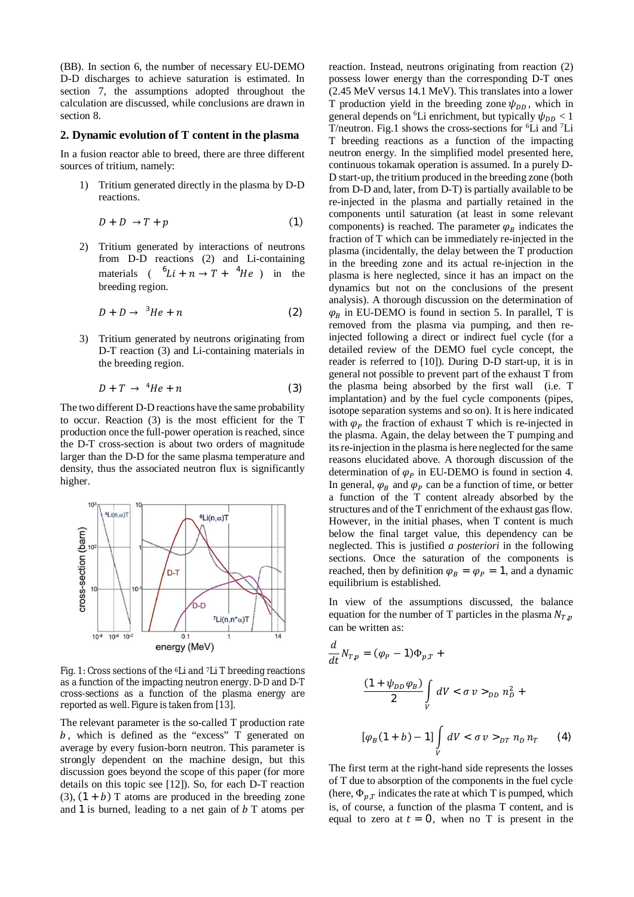(BB). In section 6, the number of necessary EU-DEMO D-D discharges to achieve saturation is estimated. In section 7, the assumptions adopted throughout the calculation are discussed, while conclusions are drawn in section 8.

## **2. Dynamic evolution of T content in the plasma**

In a fusion reactor able to breed, there are three different sources of tritium, namely:

1) Tritium generated directly in the plasma by D-D reactions.

$$
D + D \to T + p \tag{1}
$$

2) Tritium generated by interactions of neutrons from D-D reactions (2) and Li-containing materials  $(6L i + n \rightarrow T + 4He)$  in the breeding region.

$$
D + D \to {}^{3}He + n \tag{2}
$$

3) Tritium generated by neutrons originating from D-T reaction (3) and Li-containing materials in the breeding region.

$$
D + T \rightarrow {}^{4}He + n \tag{3}
$$

The two different D-D reactions have the same probability to occur. Reaction (3) is the most efficient for the T production once the full-power operation is reached, since the D-T cross-section is about two orders of magnitude larger than the D-D for the same plasma temperature and density, thus the associated neutron flux is significantly higher.



Fig. 1: Cross sections of the <sup>6</sup>Li and <sup>7</sup>Li T breeding reactions as a function of the impacting neutron energy. D-D and D-T cross-sections as a function of the plasma energy are reported as well. Figure is taken from [13].

The relevant parameter is the so-called T production rate  $b$ , which is defined as the "excess" T generated on average by every fusion-born neutron. This parameter is strongly dependent on the machine design, but this discussion goes beyond the scope of this paper (for more details on this topic see [12]). So, for each D-T reaction (3),  $(1 + b)$  T atoms are produced in the breeding zone and 1 is burned, leading to a net gain of  $\bar{b}$  T atoms per

reaction. Instead, neutrons originating from reaction (2) possess lower energy than the corresponding D-T ones (2.45 MeV versus 14.1 MeV). This translates into a lower T production yield in the breeding zone  $\psi_{DD}$ , which in general depends on <sup>6</sup>Li enrichment, but typically  $\psi_{DD}$  < 1 T/neutron. Fig.1 shows the cross-sections for <sup>6</sup>Li and <sup>7</sup>Li T breeding reactions as a function of the impacting neutron energy. In the simplified model presented here, continuous tokamak operation is assumed. In a purely D-D start-up, the tritium produced in the breeding zone (both from D-D and, later, from D-T) is partially available to be re-injected in the plasma and partially retained in the components until saturation (at least in some relevant components) is reached. The parameter  $\varphi_B$  indicates the fraction of T which can be immediately re-injected in the plasma (incidentally, the delay between the T production in the breeding zone and its actual re-injection in the plasma is here neglected, since it has an impact on the dynamics but not on the conclusions of the present analysis). A thorough discussion on the determination of  $\varphi_R$  in EU-DEMO is found in section 5. In parallel, T is removed from the plasma via pumping, and then reinjected following a direct or indirect fuel cycle (for a detailed review of the DEMO fuel cycle concept, the reader is referred to [10]). During D-D start-up, it is in general not possible to prevent part of the exhaust T from the plasma being absorbed by the first wall (i.e. T implantation) and by the fuel cycle components (pipes, isotope separation systems and so on). It is here indicated with  $\varphi_P$  the fraction of exhaust T which is re-injected in the plasma. Again, the delay between the T pumping and its re-injection in the plasma is here neglected for the same reasons elucidated above. A thorough discussion of the determination of  $\varphi_P$  in EU-DEMO is found in section 4. In general,  $\varphi_R$  and  $\varphi_P$  can be a function of time, or better a function of the T content already absorbed by the structures and of the T enrichment of the exhaust gas flow. However, in the initial phases, when T content is much below the final target value, this dependency can be neglected. This is justified *a posteriori* in the following sections. Once the saturation of the components is reached, then by definition  $\varphi_B = \varphi_P = 1$ , and a dynamic equilibrium is established.

In view of the assumptions discussed, the balance equation for the number of T particles in the plasma  $N_{T,n}$ can be written as:

$$
\frac{d}{dt}N_{T,p} = (\varphi_P - 1)\Phi_{p,T} +
$$
\n
$$
\frac{(1 + \psi_{DD}\varphi_B)}{2} \int_V dV < \sigma v >_{DD} n_D^2 +
$$
\n
$$
[\varphi_B(1 + b) - 1] \int_V dV < \sigma v >_{DT} n_D n_T \tag{4}
$$

The first term at the right-hand side represents the losses of T due to absorption of the components in the fuel cycle (here,  $\Phi_{p,T}$  indicates the rate at which T is pumped, which is, of course, a function of the plasma T content, and is equal to zero at  $t = 0$ , when no T is present in the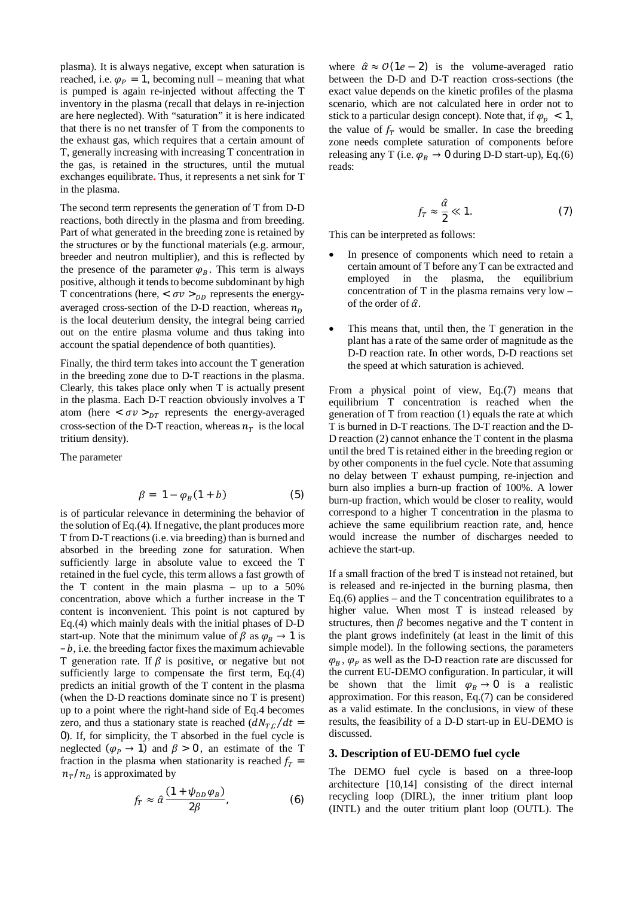plasma). It is always negative, except when saturation is reached, i.e.  $\varphi_p = 1$ , becoming null – meaning that what is pumped is again re-injected without affecting the T inventory in the plasma (recall that delays in re-injection are here neglected). With "saturation" it is here indicated that there is no net transfer of T from the components to the exhaust gas, which requires that a certain amount of T, generally increasing with increasing T concentration in the gas, is retained in the structures, until the mutual exchanges equilibrate**.** Thus, it represents a net sink for T in the plasma.

The second term represents the generation of T from D-D reactions, both directly in the plasma and from breeding. Part of what generated in the breeding zone is retained by the structures or by the functional materials (e.g. armour, breeder and neutron multiplier), and this is reflected by the presence of the parameter  $\varphi_B$ . This term is always positive, although it tends to become subdominant by high T concentrations (here,  $\langle \sigma v \rangle_{DD}$  represents the energyaveraged cross-section of the D-D reaction, whereas  $n<sub>p</sub>$ is the local deuterium density, the integral being carried out on the entire plasma volume and thus taking into account the spatial dependence of both quantities).

Finally, the third term takes into account the T generation in the breeding zone due to D-T reactions in the plasma. Clearly, this takes place only when T is actually present in the plasma. Each D-T reaction obviously involves a T atom (here  $\langle \sigma v \rangle_{DT}$  represents the energy-averaged cross-section of the D-T reaction, whereas  $n<sub>T</sub>$  is the local tritium density).

The parameter

$$
\beta = 1 - \varphi_B(1 + b) \tag{5}
$$

is of particular relevance in determining the behavior of the solution of Eq.(4). If negative, the plant produces more T from D-T reactions (i.e. via breeding) than is burned and absorbed in the breeding zone for saturation. When sufficiently large in absolute value to exceed the T retained in the fuel cycle, this term allows a fast growth of the T content in the main plasma – up to a 50% concentration, above which a further increase in the T content is inconvenient. This point is not captured by Eq.(4) which mainly deals with the initial phases of D-D start-up. Note that the minimum value of  $\beta$  as  $\varphi_{R} \rightarrow 1$  is  $- b$ , i.e. the breeding factor fixes the maximum achievable T generation rate. If  $\beta$  is positive, or negative but not sufficiently large to compensate the first term, Eq.(4) predicts an initial growth of the T content in the plasma (when the D-D reactions dominate since no T is present) up to a point where the right-hand side of Eq.4 becomes zero, and thus a stationary state is reached  $\left(\frac{dN_{T,C}}{dt}\right)$ 0). If, for simplicity, the T absorbed in the fuel cycle is neglected ( $\varphi_P \rightarrow 1$ ) and  $\beta > 0$ , an estimate of the T fraction in the plasma when stationarity is reached  $f_T$  =  $n_T/n_D$  is approximated by

$$
f_T \approx \hat{\alpha} \frac{(1 + \psi_{DD} \varphi_B)}{2\beta},\tag{6}
$$

where  $\hat{\alpha} \approx O(1e - 2)$  is the volume-averaged ratio between the D-D and D-T reaction cross-sections (the exact value depends on the kinetic profiles of the plasma scenario, which are not calculated here in order not to stick to a particular design concept). Note that, if  $\varphi_n < 1$ , the value of  $f<sub>T</sub>$  would be smaller. In case the breeding zone needs complete saturation of components before releasing any T (i.e.  $\varphi_B \rightarrow 0$  during D-D start-up), Eq.(6) reads:

$$
f_T \approx \frac{\hat{\alpha}}{2} \ll 1. \tag{7}
$$

This can be interpreted as follows:

- In presence of components which need to retain a certain amount of T before any T can be extracted and employed in the plasma, the equilibrium concentration of T in the plasma remains very low – of the order of  $\hat{\alpha}$ .
- This means that, until then, the T generation in the plant has a rate of the same order of magnitude as the D-D reaction rate. In other words, D-D reactions set the speed at which saturation is achieved.

From a physical point of view, Eq.(7) means that equilibrium T concentration is reached when the generation of T from reaction (1) equals the rate at which T is burned in D-T reactions. The D-T reaction and the D-D reaction (2) cannot enhance the T content in the plasma until the bred T is retained either in the breeding region or by other components in the fuel cycle. Note that assuming no delay between T exhaust pumping, re-injection and burn also implies a burn-up fraction of 100%. A lower burn-up fraction, which would be closer to reality, would correspond to a higher T concentration in the plasma to achieve the same equilibrium reaction rate, and, hence would increase the number of discharges needed to achieve the start-up.

If a small fraction of the bred T is instead not retained, but is released and re-injected in the burning plasma, then Eq.(6) applies – and the  $T$  concentration equilibrates to a higher value. When most T is instead released by structures, then  $\beta$  becomes negative and the T content in the plant grows indefinitely (at least in the limit of this simple model). In the following sections, the parameters  $\varphi_R$ ,  $\varphi_P$  as well as the D-D reaction rate are discussed for the current EU-DEMO configuration. In particular, it will be shown that the limit  $\varphi_B \to 0$  is a realistic approximation. For this reason, Eq.(7) can be considered as a valid estimate. In the conclusions, in view of these results, the feasibility of a D-D start-up in EU-DEMO is discussed.

## **3. Description of EU-DEMO fuel cycle**

The DEMO fuel cycle is based on a three-loop architecture [10,14] consisting of the direct internal recycling loop (DIRL), the inner tritium plant loop (INTL) and the outer tritium plant loop (OUTL). The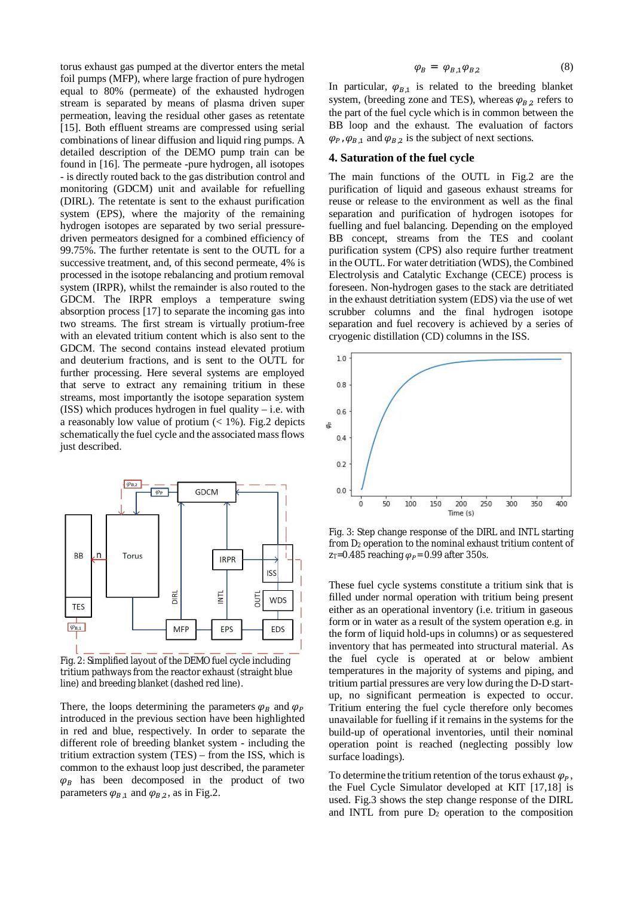torus exhaust gas pumped at the divertor enters the metal foil pumps (MFP), where large fraction of pure hydrogen equal to 80% (permeate) of the exhausted hydrogen stream is separated by means of plasma driven super permeation, leaving the residual other gases as retentate [15]. Both effluent streams are compressed using serial combinations of linear diffusion and liquid ring pumps. A detailed description of the DEMO pump train can be found in [16]. The permeate -pure hydrogen, all isotopes - is directly routed back to the gas distribution control and monitoring (GDCM) unit and available for refuelling (DIRL). The retentate is sent to the exhaust purification system (EPS), where the majority of the remaining hydrogen isotopes are separated by two serial pressuredriven permeators designed for a combined efficiency of 99.75%. The further retentate is sent to the OUTL for a successive treatment, and, of this second permeate, 4% is processed in the isotope rebalancing and protium removal system (IRPR), whilst the remainder is also routed to the GDCM. The IRPR employs a temperature swing absorption process [17] to separate the incoming gas into two streams. The first stream is virtually protium-free with an elevated tritium content which is also sent to the GDCM. The second contains instead elevated protium and deuterium fractions, and is sent to the OUTL for further processing. Here several systems are employed that serve to extract any remaining tritium in these streams, most importantly the isotope separation system (ISS) which produces hydrogen in fuel quality – i.e. with a reasonably low value of protium  $\ll 1\%$ ). Fig.2 depicts schematically the fuel cycle and the associated mass flows just described.



Fig. 2: Simplified layout of the DEMO fuel cycle including tritium pathways from the reactor exhaust (straight blue line) and breeding blanket (dashed red line).

There, the loops determining the parameters  $\varphi_R$  and  $\varphi_P$ introduced in the previous section have been highlighted in red and blue, respectively. In order to separate the different role of breeding blanket system - including the tritium extraction system (TES) – from the ISS, which is common to the exhaust loop just described, the parameter  $\varphi_R$  has been decomposed in the product of two parameters  $\varphi_{B,1}$  and  $\varphi_{B,2}$ , as in Fig.2.

$$
\varphi_B = \varphi_{B,1} \varphi_{B,2} \tag{8}
$$

In particular,  $\varphi_{B,1}$  is related to the breeding blanket system, (breeding zone and TES), whereas  $\varphi_{B,2}$  refers to the part of the fuel cycle which is in common between the BB loop and the exhaust. The evaluation of factors  $\varphi_{P}, \varphi_{B,1}$  and  $\varphi_{B,2}$  is the subject of next sections.

## **4. Saturation of the fuel cycle**

The main functions of the OUTL in Fig.2 are the purification of liquid and gaseous exhaust streams for reuse or release to the environment as well as the final separation and purification of hydrogen isotopes for fuelling and fuel balancing. Depending on the employed BB concept, streams from the TES and coolant purification system (CPS) also require further treatment in the OUTL. For water detritiation (WDS), the Combined Electrolysis and Catalytic Exchange (CECE) process is foreseen. Non-hydrogen gases to the stack are detritiated in the exhaust detritiation system (EDS) via the use of wet scrubber columns and the final hydrogen isotope separation and fuel recovery is achieved by a series of cryogenic distillation (CD) columns in the ISS.



Fig. 3: Step change response of the DIRL and INTL starting from D<sub>2</sub> operation to the nominal exhaust tritium content of  $ZT=0.485$  reaching  $\varphi_P$  = 0.99 after 350s.

These fuel cycle systems constitute a tritium sink that is filled under normal operation with tritium being present either as an operational inventory (i.e. tritium in gaseous form or in water as a result of the system operation e.g. in the form of liquid hold-ups in columns) or as sequestered inventory that has permeated into structural material. As the fuel cycle is operated at or below ambient temperatures in the majority of systems and piping, and tritium partial pressures are very low during the D-D startup, no significant permeation is expected to occur. Tritium entering the fuel cycle therefore only becomes unavailable for fuelling if it remains in the systems for the build-up of operational inventories, until their nominal operation point is reached (neglecting possibly low surface loadings).

To determine the tritium retention of the torus exhaust  $\varphi_{P}$ , the Fuel Cycle Simulator developed at KIT [17,18] is used. Fig.3 shows the step change response of the DIRL and INTL from pure  $D_2$  operation to the composition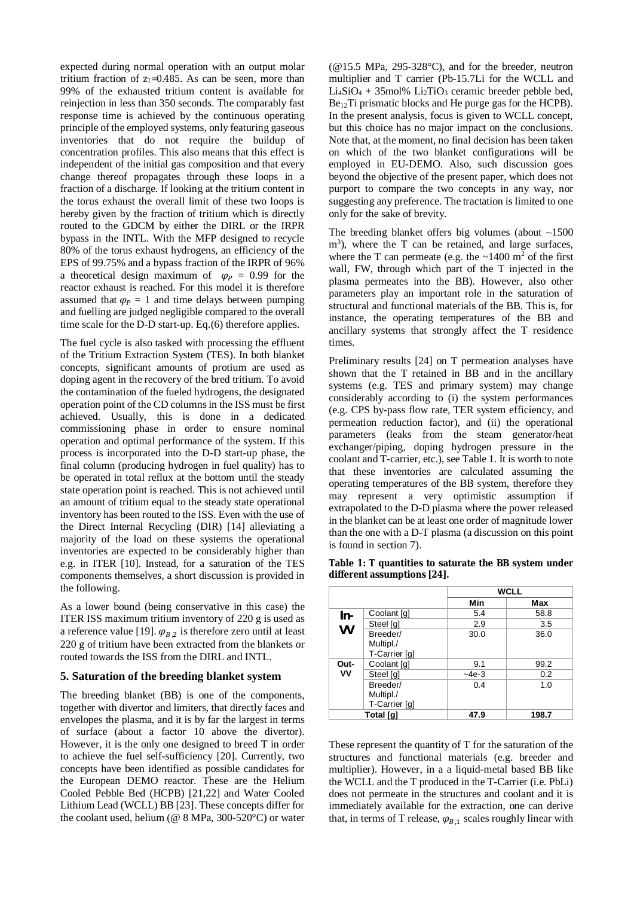expected during normal operation with an output molar tritium fraction of  $z_T=0.485$ . As can be seen, more than 99% of the exhausted tritium content is available for reinjection in less than 350 seconds. The comparably fast response time is achieved by the continuous operating principle of the employed systems, only featuring gaseous inventories that do not require the buildup of concentration profiles. This also means that this effect is independent of the initial gas composition and that every change thereof propagates through these loops in a fraction of a discharge. If looking at the tritium content in the torus exhaust the overall limit of these two loops is hereby given by the fraction of tritium which is directly routed to the GDCM by either the DIRL or the IRPR bypass in the INTL. With the MFP designed to recycle 80% of the torus exhaust hydrogens, an efficiency of the EPS of 99.75% and a bypass fraction of the IRPR of 96% a theoretical design maximum of  $\varphi_p = 0.99$  for the reactor exhaust is reached. For this model it is therefore assumed that  $\varphi_P = 1$  and time delays between pumping and fuelling are judged negligible compared to the overall time scale for the D-D start-up. Eq.(6) therefore applies.

The fuel cycle is also tasked with processing the effluent of the Tritium Extraction System (TES). In both blanket concepts, significant amounts of protium are used as doping agent in the recovery of the bred tritium. To avoid the contamination of the fueled hydrogens, the designated operation point of the CD columns in the ISS must be first achieved. Usually, this is done in a dedicated commissioning phase in order to ensure nominal operation and optimal performance of the system. If this process is incorporated into the D-D start-up phase, the final column (producing hydrogen in fuel quality) has to be operated in total reflux at the bottom until the steady state operation point is reached. This is not achieved until an amount of tritium equal to the steady state operational inventory has been routed to the ISS. Even with the use of the Direct Internal Recycling (DIR) [14] alleviating a majority of the load on these systems the operational inventories are expected to be considerably higher than e.g. in ITER [10]. Instead, for a saturation of the TES components themselves, a short discussion is provided in the following.

As a lower bound (being conservative in this case) the ITER ISS maximum tritium inventory of 220 g is used as a reference value [19].  $\varphi_{B,2}$  is therefore zero until at least 220 g of tritium have been extracted from the blankets or routed towards the ISS from the DIRL and INTL.

## **5. Saturation of the breeding blanket system**

The breeding blanket (BB) is one of the components, together with divertor and limiters, that directly faces and envelopes the plasma, and it is by far the largest in terms of surface (about a factor 10 above the divertor). However, it is the only one designed to breed T in order to achieve the fuel self-sufficiency [20]. Currently, two concepts have been identified as possible candidates for the European DEMO reactor. These are the Helium Cooled Pebble Bed (HCPB) [21,22] and Water Cooled Lithium Lead (WCLL) BB [23]. These concepts differ for the coolant used, helium ( $@ 8$  MPa, 300-520 $^{\circ}$ C) or water (@15.5 MPa, 295-328°C), and for the breeder, neutron multiplier and T carrier (Pb-15.7Li for the WCLL and  $Li_4SiO_4 + 35mol\% Li_2TiO_3$  ceramic breeder pebble bed, Be12Ti prismatic blocks and He purge gas for the HCPB). In the present analysis, focus is given to WCLL concept, but this choice has no major impact on the conclusions. Note that, at the moment, no final decision has been taken on which of the two blanket configurations will be employed in EU-DEMO. Also, such discussion goes beyond the objective of the present paper, which does not purport to compare the two concepts in any way, nor suggesting any preference. The tractation is limited to one only for the sake of brevity.

The breeding blanket offers big volumes (about  $~1500$ ) m<sup>3</sup>), where the T can be retained, and large surfaces, where the T can permeate (e.g. the  $\sim$ 1400 m<sup>2</sup> of the first wall, FW, through which part of the T injected in the plasma permeates into the BB). However, also other parameters play an important role in the saturation of structural and functional materials of the BB. This is, for instance, the operating temperatures of the BB and ancillary systems that strongly affect the T residence times.

Preliminary results [24] on T permeation analyses have shown that the T retained in BB and in the ancillary systems (e.g. TES and primary system) may change considerably according to (i) the system performances (e.g. CPS by-pass flow rate, TER system efficiency, and permeation reduction factor), and (ii) the operational parameters (leaks from the steam generator/heat exchanger/piping, doping hydrogen pressure in the coolant and T-carrier, etc.), see Table 1. It is worth to note that these inventories are calculated assuming the operating temperatures of the BB system, therefore they may represent a very optimistic assumption if extrapolated to the D-D plasma where the power released in the blanket can be at least one order of magnitude lower than the one with a D-T plasma (a discussion on this point is found in section 7).

**Table 1: T quantities to saturate the BB system under different assumptions [24].**

|            |                                        | <b>WCLL</b> |       |
|------------|----------------------------------------|-------------|-------|
|            |                                        | Min         | Max   |
| In-<br>VV  | Coolant [g]                            | 5.4         | 58.8  |
|            | Steel [g]                              | 2.9         | 3.5   |
|            | Breeder/<br>Multipl./<br>T-Carrier [g] | 30.0        | 36.0  |
| Out-<br>۷V | Coolant [g]                            | 9.1         | 99.2  |
|            | Steel [g]                              | $-4e-3$     | 0.2   |
|            | Breeder/<br>Multipl./<br>T-Carrier [g] | 0.4         | 1.0   |
| Total [q]  |                                        | 47.9        | 198.7 |

These represent the quantity of T for the saturation of the structures and functional materials (e.g. breeder and multiplier). However, in a a liquid-metal based BB like the WCLL and the T produced in the T-Carrier (i.e. PbLi) does not permeate in the structures and coolant and it is immediately available for the extraction, one can derive that, in terms of T release,  $\varphi_{B,1}$  scales roughly linear with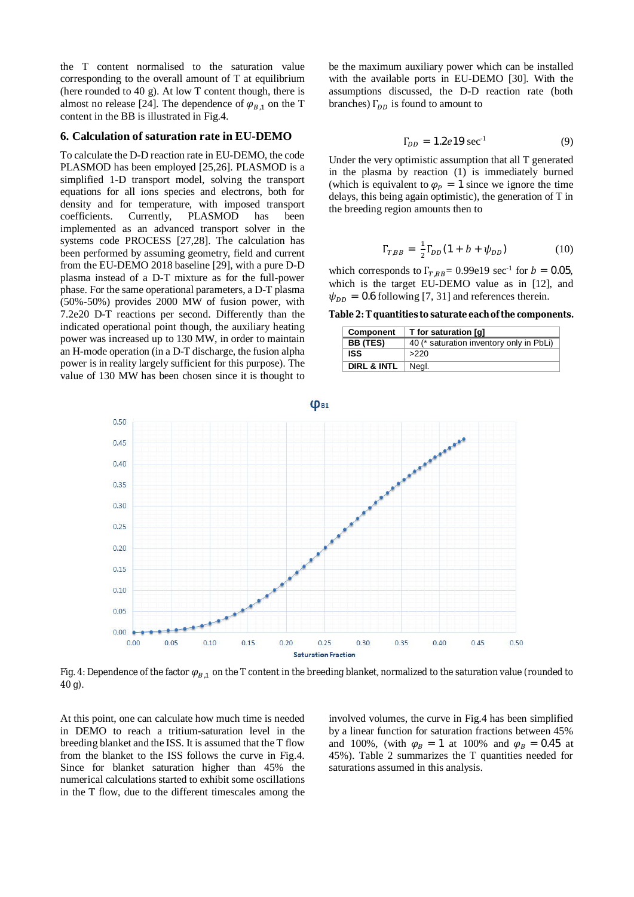the T content normalised to the saturation value corresponding to the overall amount of T at equilibrium (here rounded to 40 g). At low T content though, there is almost no release [24]. The dependence of  $\varphi_{B,1}$  on the T content in the BB is illustrated in Fig.4.

#### **6. Calculation of saturation rate in EU-DEMO**

To calculate the D-D reaction rate in EU-DEMO, the code PLASMOD has been employed [25,26]. PLASMOD is a simplified 1-D transport model, solving the transport equations for all ions species and electrons, both for density and for temperature, with imposed transport coefficients. Currently, PLASMOD has been implemented as an advanced transport solver in the systems code PROCESS [27,28]. The calculation has been performed by assuming geometry, field and current from the EU-DEMO 2018 baseline [29], with a pure D-D plasma instead of a D-T mixture as for the full-power phase. For the same operational parameters, a D-T plasma (50%-50%) provides 2000 MW of fusion power, with 7.2e20 D-T reactions per second. Differently than the indicated operational point though, the auxiliary heating power was increased up to 130 MW, in order to maintain an H-mode operation (in a D-T discharge, the fusion alpha power is in reality largely sufficient for this purpose). The value of 130 MW has been chosen since it is thought to be the maximum auxiliary power which can be installed with the available ports in EU-DEMO [30]. With the assumptions discussed, the D-D reaction rate (both branches)  $\Gamma_{DD}$  is found to amount to

$$
\Gamma_{DD} = 1.2e19 \text{ sec}^{-1} \tag{9}
$$

Under the very optimistic assumption that all T generated in the plasma by reaction (1) is immediately burned (which is equivalent to  $\varphi_P = 1$  since we ignore the time delays, this being again optimistic), the generation of T in the breeding region amounts then to

$$
\Gamma_{T,BB} = \frac{1}{2} \Gamma_{DD} (1 + b + \psi_{DD})
$$
 (10)

which corresponds to  $\Gamma_{T,BB} = 0.99e19 \text{ sec}^{-1}$  for  $b = 0.05$ , which is the target EU-DEMO value as in [12], and  $\psi_{DD} = 0.6$  following [7, 31] and references therein.

**Table 2: T quantities to saturate each of the components.**

| Component              | T for saturation [q]                     |
|------------------------|------------------------------------------|
| BB (TES)               | 40 (* saturation inventory only in PbLi) |
| <b>ISS</b>             | >220                                     |
| <b>DIRL &amp; INTL</b> | Negl.                                    |



Fig. 4: Dependence of the factor  $\varphi_{R-1}$  on the T content in the breeding blanket, normalized to the saturation value (rounded to 40 g).

At this point, one can calculate how much time is needed in DEMO to reach a tritium-saturation level in the breeding blanket and the ISS. It is assumed that the T flow from the blanket to the ISS follows the curve in Fig.4. Since for blanket saturation higher than 45% the numerical calculations started to exhibit some oscillations in the T flow, due to the different timescales among the involved volumes, the curve in Fig.4 has been simplified by a linear function for saturation fractions between 45% and 100%, (with  $\varphi_R = 1$  at 100% and  $\varphi_R = 0.45$  at 45%). Table 2 summarizes the T quantities needed for saturations assumed in this analysis.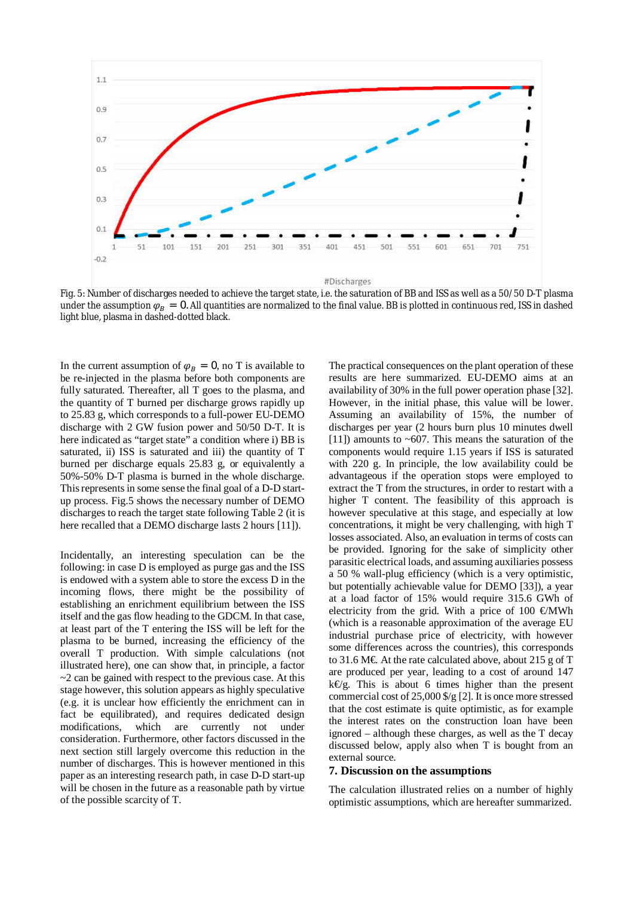

Fig. 5: Number of discharges needed to achieve the target state, i.e. the saturation of BB and ISS as well as a 50/50 D-T plasma under the assumption  $\varphi_B = 0$ . All quantities are normalized to the final value. BB is plotted in continuous red, ISS in dashed light blue, plasma in dashed-dotted black.

In the current assumption of  $\varphi_B = 0$ , no T is available to be re-injected in the plasma before both components are fully saturated. Thereafter, all T goes to the plasma, and the quantity of T burned per discharge grows rapidly up to 25.83 g, which corresponds to a full-power EU-DEMO discharge with 2 GW fusion power and 50/50 D-T. It is here indicated as "target state" a condition where i) BB is saturated, ii) ISS is saturated and iii) the quantity of T burned per discharge equals 25.83 g, or equivalently a 50%-50% D-T plasma is burned in the whole discharge. This represents in some sense the final goal of a D-D startup process. Fig.5 shows the necessary number of DEMO discharges to reach the target state following Table 2 (it is here recalled that a DEMO discharge lasts 2 hours [11]).

Incidentally, an interesting speculation can be the following: in case D is employed as purge gas and the ISS is endowed with a system able to store the excess D in the incoming flows, there might be the possibility of establishing an enrichment equilibrium between the ISS itself and the gas flow heading to the GDCM. In that case, at least part of the T entering the ISS will be left for the plasma to be burned, increasing the efficiency of the overall T production. With simple calculations (not illustrated here), one can show that, in principle, a factor  $\sim$ 2 can be gained with respect to the previous case. At this stage however, this solution appears as highly speculative (e.g. it is unclear how efficiently the enrichment can in fact be equilibrated), and requires dedicated design modifications, which are currently not under consideration. Furthermore, other factors discussed in the next section still largely overcome this reduction in the number of discharges. This is however mentioned in this paper as an interesting research path, in case D-D start-up will be chosen in the future as a reasonable path by virtue of the possible scarcity of T.

The practical consequences on the plant operation of these results are here summarized. EU-DEMO aims at an availability of 30% in the full power operation phase [32]. However, in the initial phase, this value will be lower. Assuming an availability of 15%, the number of discharges per year (2 hours burn plus 10 minutes dwell [11]) amounts to  $\sim 607$ . This means the saturation of the components would require 1.15 years if ISS is saturated with 220 g. In principle, the low availability could be advantageous if the operation stops were employed to extract the T from the structures, in order to restart with a higher T content. The feasibility of this approach is however speculative at this stage, and especially at low concentrations, it might be very challenging, with high T losses associated. Also, an evaluation in terms of costs can be provided. Ignoring for the sake of simplicity other parasitic electrical loads, and assuming auxiliaries possess a 50 % wall-plug efficiency (which is a very optimistic, but potentially achievable value for DEMO [33]), a year at a load factor of 15% would require 315.6 GWh of electricity from the grid. With a price of 100 €MWh (which is a reasonable approximation of the average EU industrial purchase price of electricity, with however some differences across the countries), this corresponds to 31.6 M€. At the rate calculated above, about 215 g of T are produced per year, leading to a cost of around 147  $k \in g$ . This is about 6 times higher than the present commercial cost of 25,000 \$/g [2]. It is once more stressed that the cost estimate is quite optimistic, as for example the interest rates on the construction loan have been ignored – although these charges, as well as the T decay discussed below, apply also when T is bought from an external source.

#### **7. Discussion on the assumptions**

The calculation illustrated relies on a number of highly optimistic assumptions, which are hereafter summarized.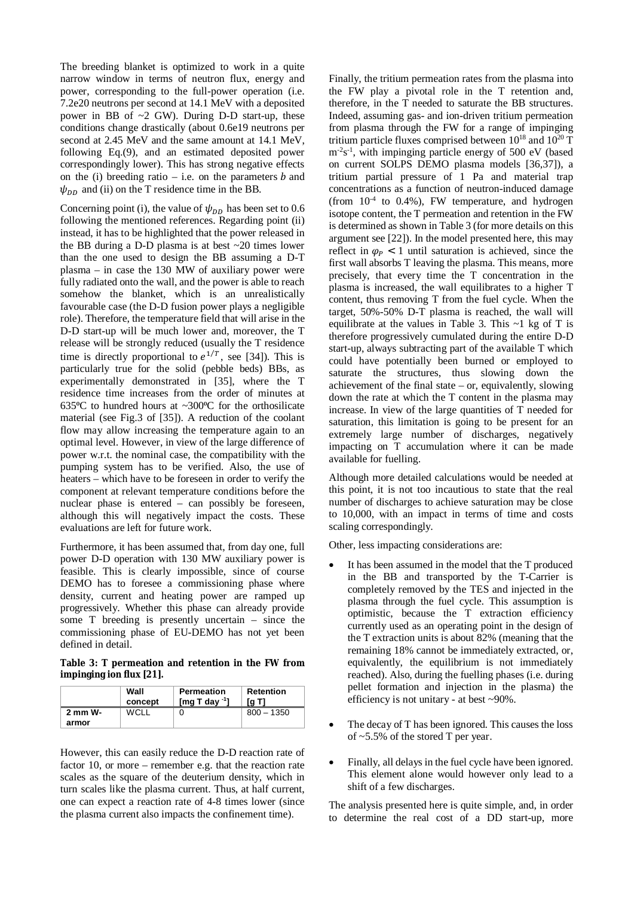The breeding blanket is optimized to work in a quite narrow window in terms of neutron flux, energy and power, corresponding to the full-power operation (i.e. 7.2e20 neutrons per second at 14.1 MeV with a deposited power in BB of ~2 GW). During D-D start-up, these conditions change drastically (about 0.6e19 neutrons per second at 2.45 MeV and the same amount at 14.1 MeV, following Eq.(9), and an estimated deposited power correspondingly lower). This has strong negative effects on the (i) breeding ratio – i.e. on the parameters  $b$  and  $\psi_{DD}$  and (ii) on the T residence time in the BB.

Concerning point (i), the value of  $\psi_{DD}$  has been set to 0.6 following the mentioned references. Regarding point (ii) instead, it has to be highlighted that the power released in the BB during a D-D plasma is at best ~20 times lower than the one used to design the BB assuming a D-T plasma – in case the 130 MW of auxiliary power were fully radiated onto the wall, and the power is able to reach somehow the blanket, which is an unrealistically favourable case (the D-D fusion power plays a negligible role). Therefore, the temperature field that will arise in the D-D start-up will be much lower and, moreover, the T release will be strongly reduced (usually the T residence time is directly proportional to  $e^{1/T}$ , see [34]). This is particularly true for the solid (pebble beds) BBs, as experimentally demonstrated in [35], where the T residence time increases from the order of minutes at 635 $\degree$ C to hundred hours at ~300 $\degree$ C for the orthosilicate material (see Fig.3 of [35]). A reduction of the coolant flow may allow increasing the temperature again to an optimal level. However, in view of the large difference of power w.r.t. the nominal case, the compatibility with the pumping system has to be verified. Also, the use of heaters – which have to be foreseen in order to verify the component at relevant temperature conditions before the nuclear phase is entered – can possibly be foreseen, although this will negatively impact the costs. These evaluations are left for future work.

Furthermore, it has been assumed that, from day one, full power D-D operation with 130 MW auxiliary power is feasible. This is clearly impossible, since of course DEMO has to foresee a commissioning phase where density, current and heating power are ramped up progressively. Whether this phase can already provide some T breeding is presently uncertain – since the commissioning phase of EU-DEMO has not yet been defined in detail.

**Table 3: T permeation and retention in the FW from impinging ion flux [21].**

|         | Wall<br>concept | <b>Permeation</b><br>$Imq$ T day $1$ | Retention<br>Ta T1 |
|---------|-----------------|--------------------------------------|--------------------|
| 2 mm W- | WCL L           |                                      | $800 - 1350$       |
| armor   |                 |                                      |                    |

However, this can easily reduce the D-D reaction rate of factor 10, or more – remember e.g. that the reaction rate scales as the square of the deuterium density, which in turn scales like the plasma current. Thus, at half current, one can expect a reaction rate of 4-8 times lower (since the plasma current also impacts the confinement time).

Finally, the tritium permeation rates from the plasma into the FW play a pivotal role in the T retention and, therefore, in the T needed to saturate the BB structures. Indeed, assuming gas- and ion-driven tritium permeation from plasma through the FW for a range of impinging tritium particle fluxes comprised between  $10^{18}$  and  $10^{20}$  T  $m^{-2}s^{-1}$ , with impinging particle energy of 500 eV (based on current SOLPS DEMO plasma models [36,37]), a tritium partial pressure of 1 Pa and material trap concentrations as a function of neutron-induced damage (from  $10^{-4}$  to 0.4%), FW temperature, and hydrogen isotope content, the T permeation and retention in the FW is determined as shown in Table 3 (for more details on this argument see [22]). In the model presented here, this may reflect in  $\varphi_{P}$  < 1 until saturation is achieved, since the first wall absorbs T leaving the plasma. This means, more precisely, that every time the T concentration in the plasma is increased, the wall equilibrates to a higher T content, thus removing T from the fuel cycle. When the target, 50%-50% D-T plasma is reached, the wall will equilibrate at the values in Table 3. This  $\sim$ 1 kg of T is therefore progressively cumulated during the entire D-D start-up, always subtracting part of the available T which could have potentially been burned or employed to saturate the structures, thus slowing down the achievement of the final state  $-$  or, equivalently, slowing down the rate at which the T content in the plasma may increase. In view of the large quantities of T needed for saturation, this limitation is going to be present for an extremely large number of discharges, negatively impacting on T accumulation where it can be made available for fuelling.

Although more detailed calculations would be needed at this point, it is not too incautious to state that the real number of discharges to achieve saturation may be close to 10,000, with an impact in terms of time and costs scaling correspondingly.

Other, less impacting considerations are:

- It has been assumed in the model that the T produced in the BB and transported by the T-Carrier is completely removed by the TES and injected in the plasma through the fuel cycle. This assumption is optimistic, because the T extraction efficiency currently used as an operating point in the design of the T extraction units is about 82% (meaning that the remaining 18% cannot be immediately extracted, or, equivalently, the equilibrium is not immediately reached). Also, during the fuelling phases (i.e. during pellet formation and injection in the plasma) the efficiency is not unitary - at best ~90%.
- The decay of T has been ignored. This causes the loss of ~5.5% of the stored T per year.
- Finally, all delays in the fuel cycle have been ignored. This element alone would however only lead to a shift of a few discharges.

The analysis presented here is quite simple, and, in order to determine the real cost of a DD start-up, more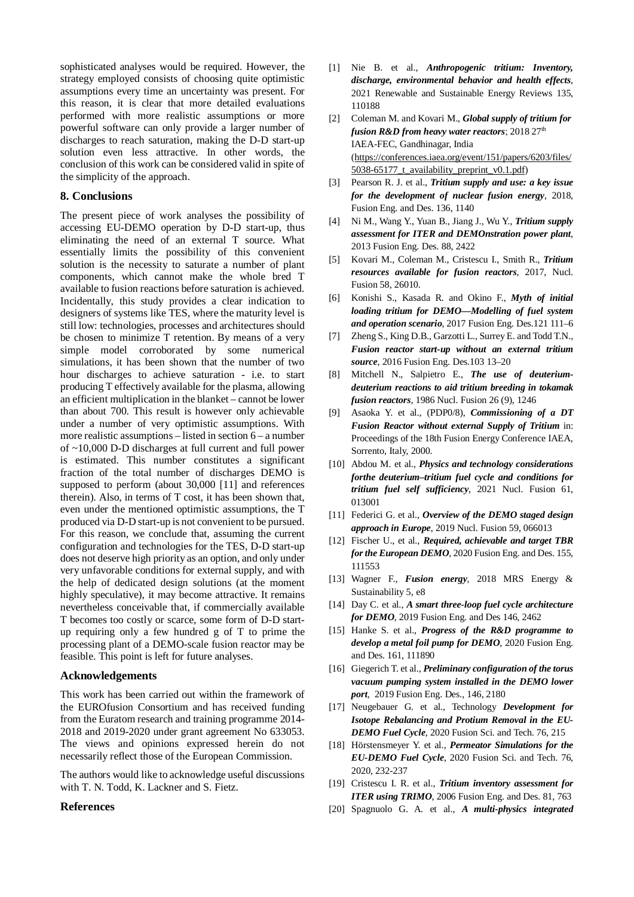sophisticated analyses would be required. However, the strategy employed consists of choosing quite optimistic assumptions every time an uncertainty was present. For this reason, it is clear that more detailed evaluations performed with more realistic assumptions or more powerful software can only provide a larger number of discharges to reach saturation, making the D-D start-up solution even less attractive. In other words, the conclusion of this work can be considered valid in spite of the simplicity of the approach.

#### **8. Conclusions**

The present piece of work analyses the possibility of accessing EU-DEMO operation by D-D start-up, thus eliminating the need of an external T source. What essentially limits the possibility of this convenient solution is the necessity to saturate a number of plant components, which cannot make the whole bred T available to fusion reactions before saturation is achieved. Incidentally, this study provides a clear indication to designers of systems like TES, where the maturity level is still low: technologies, processes and architectures should be chosen to minimize T retention. By means of a very simple model corroborated by some numerical simulations, it has been shown that the number of two hour discharges to achieve saturation - i.e. to start producing T effectively available for the plasma, allowing an efficient multiplication in the blanket – cannot be lower than about 700. This result is however only achievable under a number of very optimistic assumptions. With more realistic assumptions – listed in section 6 – a number of ~10,000 D-D discharges at full current and full power is estimated. This number constitutes a significant fraction of the total number of discharges DEMO is supposed to perform (about 30,000 [11] and references therein). Also, in terms of T cost, it has been shown that, even under the mentioned optimistic assumptions, the T produced via D-D start-up is not convenient to be pursued. For this reason, we conclude that, assuming the current configuration and technologies for the TES, D-D start-up does not deserve high priority as an option, and only under very unfavorable conditions for external supply, and with the help of dedicated design solutions (at the moment highly speculative), it may become attractive. It remains nevertheless conceivable that, if commercially available T becomes too costly or scarce, some form of D-D startup requiring only a few hundred g of T to prime the processing plant of a DEMO-scale fusion reactor may be feasible. This point is left for future analyses.

## **Acknowledgements**

This work has been carried out within the framework of the EUROfusion Consortium and has received funding from the Euratom research and training programme 2014- 2018 and 2019-2020 under grant agreement No 633053. The views and opinions expressed herein do not necessarily reflect those of the European Commission.

The authors would like to acknowledge useful discussions with T. N. Todd, K. Lackner and S. Fietz.

#### **References**

- [1] Nie B. et al., *Anthropogenic tritium: Inventory, discharge, environmental behavior and health effects*, 2021 Renewable and Sustainable Energy Reviews 135, 110188
- [2] Coleman M. and Kovari M., *Global supply of tritium for fusion R&D from heavy water reactors*; 2018 27<sup>th</sup> IAEA-FEC, Gandhinagar, India (https://conferences.iaea.org/event/151/papers/6203/files/ 5038-65177\_t\_availability\_preprint\_v0.1.pdf)
- [3] Pearson R. J. et al., *Tritium supply and use: a key issue for the development of nuclear fusion energy*, 2018, Fusion Eng. and Des. 136, 1140
- [4] Ni M., Wang Y., Yuan B., Jiang J., Wu Y., *Tritium supply assessment for ITER and DEMOnstration power plant*, 2013 Fusion Eng. Des. 88, 2422
- [5] Kovari M., Coleman M., Cristescu I., Smith R., *Tritium resources available for fusion reactors*, 2017, Nucl. Fusion 58, 26010.
- [6] Konishi S., Kasada R. and Okino F., *Myth of initial loading tritium for DEMO—Modelling of fuel system and operation scenario*, 2017 Fusion Eng. Des.121 111–6
- [7] Zheng S., King D.B., Garzotti L., Surrey E. and Todd T.N., *Fusion reactor start-up without an external tritium source*, 2016 Fusion Eng. Des.103 13–20
- [8] Mitchell N., Salpietro E., *The use of deuteriumdeuterium reactions to aid tritium breeding in tokamak fusion reactors*, 1986 Nucl. Fusion 26 (9), 1246
- [9] Asaoka Y. et al., (PDP0/8), *Commissioning of a DT Fusion Reactor without external Supply of Tritium* in: Proceedings of the 18th Fusion Energy Conference IAEA, Sorrento, Italy, 2000.
- [10] Abdou M. et al., *Physics and technology considerations forthe deuterium–tritium fuel cycle and conditions for tritium fuel self sufficiency*, 2021 Nucl. Fusion 61, 013001
- [11] Federici G. et al., *Overview of the DEMO staged design approach in Europe*, 2019 Nucl. Fusion 59, 066013
- [12] Fischer U., et al., *Required, achievable and target TBR for the European DEMO*, 2020 Fusion Eng. and Des. 155, 111553
- [13] Wagner F., *Fusion energy*, 2018 MRS Energy & Sustainability 5, e8
- [14] Day C. et al., *A smart three-loop fuel cycle architecture for DEMO*, 2019 Fusion Eng. and Des 146, 2462
- [15] Hanke S. et al., *Progress of the R&D programme to develop a metal foil pump for DEMO*, 2020 Fusion Eng. and Des. 161, 111890
- [16] Giegerich T. et al., *Preliminary configuration of the torus vacuum pumping system installed in the DEMO lower port*, 2019 Fusion Eng. Des., 146, 2180
- [17] Neugebauer G. et al., Technology *Development for Isotope Rebalancing and Protium Removal in the EU-DEMO Fuel Cycle*, 2020 Fusion Sci. and Tech. 76, 215
- [18] Hörstensmeyer Y. et al., *Permeator Simulations for the EU-DEMO Fuel Cycle*, 2020 Fusion Sci. and Tech. 76, 2020, 232-237
- [19] Cristescu I. R. et al., *Tritium inventory assessment for ITER using TRIMO*, 2006 Fusion Eng. and Des. 81, 763
- [20] Spagnuolo G. A. et al., *A multi-physics integrated*